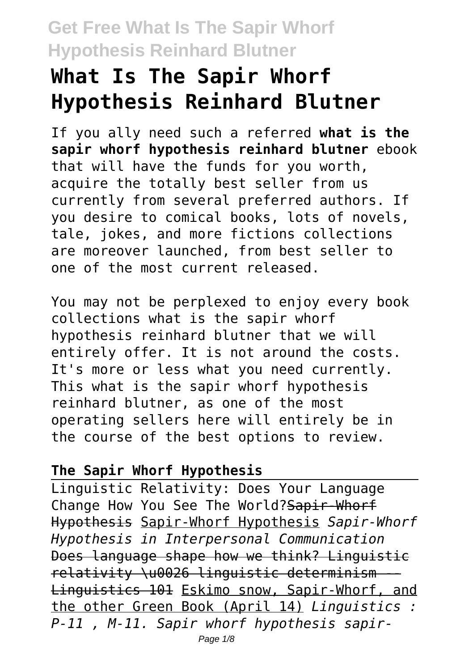# **What Is The Sapir Whorf Hypothesis Reinhard Blutner**

If you ally need such a referred **what is the sapir whorf hypothesis reinhard blutner** ebook that will have the funds for you worth, acquire the totally best seller from us currently from several preferred authors. If you desire to comical books, lots of novels, tale, jokes, and more fictions collections are moreover launched, from best seller to one of the most current released.

You may not be perplexed to enjoy every book collections what is the sapir whorf hypothesis reinhard blutner that we will entirely offer. It is not around the costs. It's more or less what you need currently. This what is the sapir whorf hypothesis reinhard blutner, as one of the most operating sellers here will entirely be in the course of the best options to review.

#### **The Sapir Whorf Hypothesis**

Linguistic Relativity: Does Your Language Change How You See The World? Sapir-Whorf Hypothesis Sapir-Whorf Hypothesis *Sapir-Whorf Hypothesis in Interpersonal Communication* Does language shape how we think? Linguistic relativity \u0026 linguistic determinism -- Linguistics 101 Eskimo snow, Sapir-Whorf, and the other Green Book (April 14) *Linguistics : P-11 , M-11. Sapir whorf hypothesis sapir-*Page  $1/8$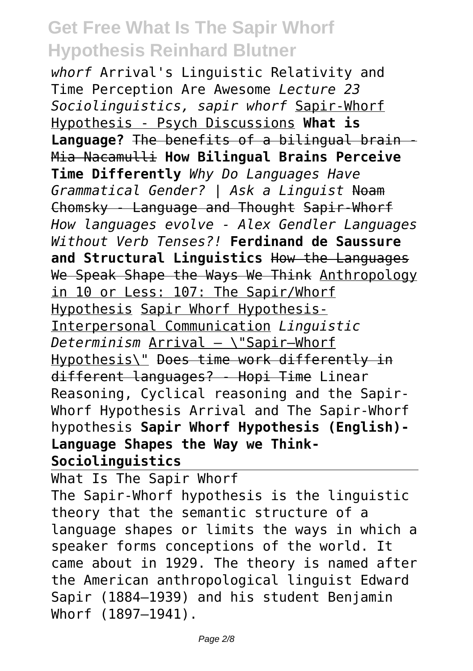*whorf* Arrival's Linguistic Relativity and Time Perception Are Awesome *Lecture 23 Sociolinguistics, sapir whorf* Sapir-Whorf Hypothesis - Psych Discussions **What is Language?** The benefits of a bilingual brain - Mia Nacamulli **How Bilingual Brains Perceive Time Differently** *Why Do Languages Have Grammatical Gender? | Ask a Linguist* Noam Chomsky - Language and Thought Sapir-Whorf *How languages evolve - Alex Gendler Languages Without Verb Tenses?!* **Ferdinand de Saussure and Structural Linguistics** How the Languages We Speak Shape the Ways We Think Anthropology in 10 or Less: 107: The Sapir/Whorf Hypothesis Sapir Whorf Hypothesis-Interpersonal Communication *Linguistic Determinism* Arrival — \"Sapir–Whorf Hypothesis\" Does time work differently in different languages? - Hopi Time Linear Reasoning, Cyclical reasoning and the Sapir-Whorf Hypothesis Arrival and The Sapir-Whorf hypothesis **Sapir Whorf Hypothesis (English)- Language Shapes the Way we Think-Sociolinguistics**

What Is The Sapir Whorf The Sapir-Whorf hypothesis is the linguistic theory that the semantic structure of a language shapes or limits the ways in which a speaker forms conceptions of the world. It came about in 1929. The theory is named after the American anthropological linguist Edward Sapir (1884–1939) and his student Benjamin Whorf (1897–1941).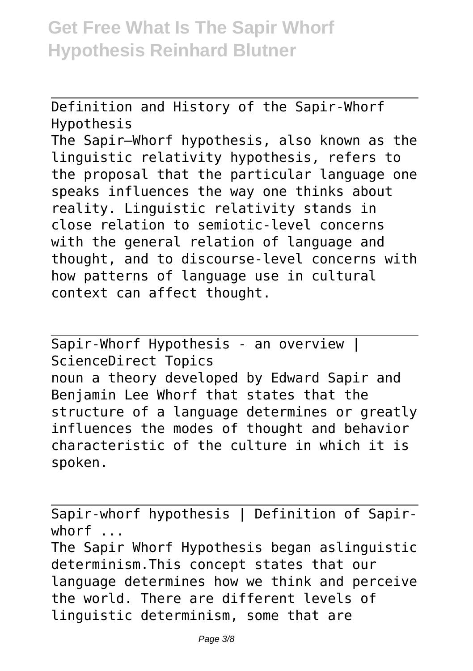Definition and History of the Sapir-Whorf Hypothesis The Sapir–Whorf hypothesis, also known as the linguistic relativity hypothesis, refers to the proposal that the particular language one speaks influences the way one thinks about reality. Linguistic relativity stands in close relation to semiotic-level concerns with the general relation of language and thought, and to discourse-level concerns with how patterns of language use in cultural context can affect thought.

Sapir-Whorf Hypothesis - an overview | ScienceDirect Topics noun a theory developed by Edward Sapir and Benjamin Lee Whorf that states that the structure of a language determines or greatly influences the modes of thought and behavior characteristic of the culture in which it is spoken.

Sapir-whorf hypothesis | Definition of Sapirwhorf ...

The Sapir Whorf Hypothesis began aslinguistic determinism.This concept states that our language determines how we think and perceive the world. There are different levels of linguistic determinism, some that are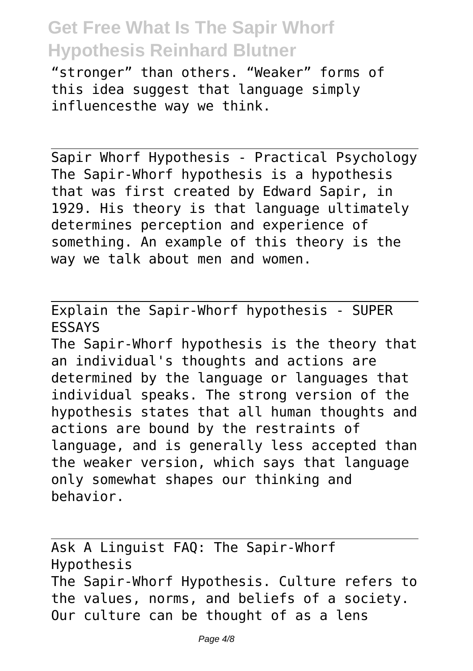"stronger" than others. "Weaker" forms of this idea suggest that language simply influencesthe way we think.

Sapir Whorf Hypothesis - Practical Psychology The Sapir-Whorf hypothesis is a hypothesis that was first created by Edward Sapir, in 1929. His theory is that language ultimately determines perception and experience of something. An example of this theory is the way we talk about men and women.

Explain the Sapir-Whorf hypothesis - SUPER ESSAYS

The Sapir-Whorf hypothesis is the theory that an individual's thoughts and actions are determined by the language or languages that individual speaks. The strong version of the hypothesis states that all human thoughts and actions are bound by the restraints of language, and is generally less accepted than the weaker version, which says that language only somewhat shapes our thinking and behavior.

Ask A Linguist FAQ: The Sapir-Whorf Hypothesis The Sapir-Whorf Hypothesis. Culture refers to the values, norms, and beliefs of a society. Our culture can be thought of as a lens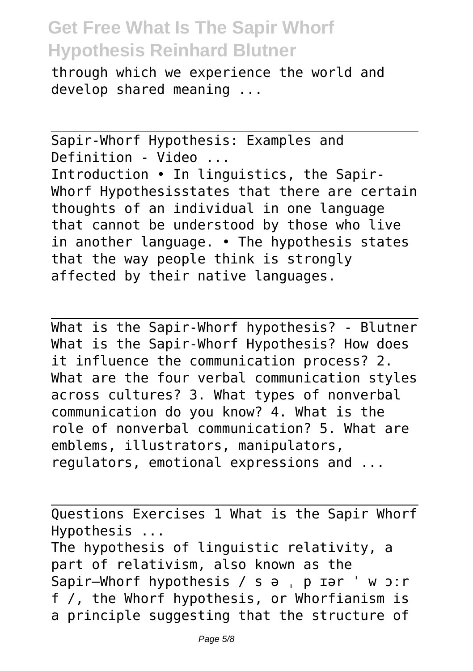through which we experience the world and develop shared meaning ...

Sapir-Whorf Hypothesis: Examples and Definition - Video ... Introduction • In linguistics, the Sapir-Whorf Hypothesisstates that there are certain thoughts of an individual in one language that cannot be understood by those who live in another language. • The hypothesis states that the way people think is strongly affected by their native languages.

What is the Sapir-Whorf hypothesis? - Blutner What is the Sapir-Whorf Hypothesis? How does it influence the communication process? 2. What are the four verbal communication styles across cultures? 3. What types of nonverbal communication do you know? 4. What is the role of nonverbal communication? 5. What are emblems, illustrators, manipulators, regulators, emotional expressions and ...

Questions Exercises 1 What is the Sapir Whorf Hypothesis ... The hypothesis of linguistic relativity, a part of relativism, also known as the Sapir–Whorf hypothesis / s ə , p ɪər ' w ɔːr f /, the Whorf hypothesis, or Whorfianism is a principle suggesting that the structure of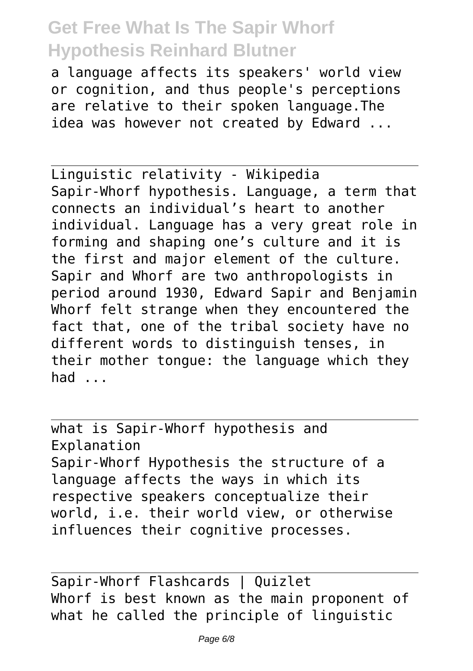a language affects its speakers' world view or cognition, and thus people's perceptions are relative to their spoken language.The idea was however not created by Edward ...

Linguistic relativity - Wikipedia Sapir-Whorf hypothesis. Language, a term that connects an individual's heart to another individual. Language has a very great role in forming and shaping one's culture and it is the first and major element of the culture. Sapir and Whorf are two anthropologists in period around 1930, Edward Sapir and Benjamin Whorf felt strange when they encountered the fact that, one of the tribal society have no different words to distinguish tenses, in their mother tongue: the language which they had ...

what is Sapir-Whorf hypothesis and Explanation Sapir-Whorf Hypothesis the structure of a language affects the ways in which its respective speakers conceptualize their world, i.e. their world view, or otherwise influences their cognitive processes.

Sapir-Whorf Flashcards | Quizlet Whorf is best known as the main proponent of what he called the principle of linguistic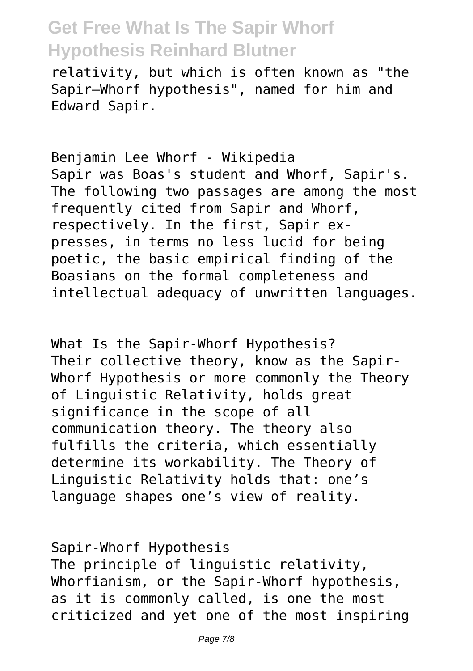relativity, but which is often known as "the Sapir–Whorf hypothesis", named for him and Edward Sapir.

Benjamin Lee Whorf - Wikipedia Sapir was Boas's student and Whorf, Sapir's. The following two passages are among the most frequently cited from Sapir and Whorf, respectively. In the first, Sapir expresses, in terms no less lucid for being poetic, the basic empirical finding of the Boasians on the formal completeness and intellectual adequacy of unwritten languages.

What Is the Sapir-Whorf Hypothesis? Their collective theory, know as the Sapir-Whorf Hypothesis or more commonly the Theory of Linguistic Relativity, holds great significance in the scope of all communication theory. The theory also fulfills the criteria, which essentially determine its workability. The Theory of Linguistic Relativity holds that: one's language shapes one's view of reality.

Sapir-Whorf Hypothesis The principle of linguistic relativity, Whorfianism, or the Sapir-Whorf hypothesis, as it is commonly called, is one the most criticized and yet one of the most inspiring